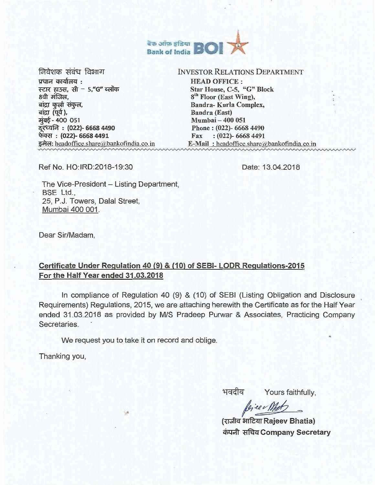

निवेशक संबंध विभाग  $$$ प्रधान कार्यालय $\:$ : स्टार हाउस, सी  $-5$ , "G" ब्लॉक 8वी मंजिल. बांद्रा कुर्ला संकुल, बांद्रा (पूर्व ), मुंबई - 400 051 दरध्वनि : (022)- 6668 4490 फेक्स : (022)- 6668 4491 इमेल: headoffice.share@bankofindia.co.in

#### INVESTOR RELATIONS DEPARTMENT

HEAD OFFICE : Star House, C-5, "G" Block 8<sup>th</sup> Floor (East Wing), Bandra- Kurla Complex, Bandra (East) Mumbai — 400 051 Phone : (022)- 6668 4490 Fax : (022)- 6668 4491 E-Mail: headoffice.share $@$ bankofindia.co.in

Ref No. HO:IRD:2018-19:30

Date: 13.04.2018

The Vice-President — Listing Department, BSE Ltd., 25, P.J. Towers, Dalal Street, Mumbai 400 001.

Dear Sir/Madam,

# **Certificate Under Regulation 40 (9) & (10) of SEBI- LODR Regulations-2015 For the Half Year ended 31.03.2018**

In compliance of Regulation 40 (9) & (10) of SEBI (Listing Obligation and Disclosure Requirements) Regulations, 2015, we are attaching herewith the Certificate as for the Half Year ended 31.03.2018 as provided by M/S Pradeep Purwar & Associates, Practicing Company Secretaries.

We request you to take it on record and oblige.

 $\mathcal{P}$ 

Thanking you,

भवदीय

Yours faithfully,

biee Met

**(3.EJlzr, .4ITL3\_7rRajeev Bhatia)**  कंपनी सचिव Company Secretary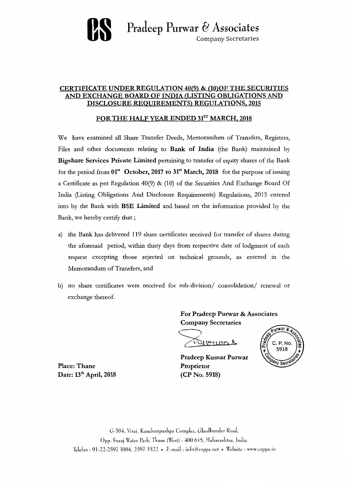

## **CERTIFICATE UNDER REGULATION 40(9) & (10)OF THE SECURITIES AND EXCHANGE BOARD OF INDIA (LISTING OBLIGATIONS AND DISCLOSURE REQUIREMENTS) REGULATIONS, 2015**

# FOR THE HALF YEAR ENDED 31<sup>ST</sup> MARCH, 2018

We have examined all Share Transfer Deeds, Memorandum of Transfers, Registers, Files and other documents relating to **Bank of India** (the Bank) maintained by **Bigshare Services Private Limited** pertaining to transfer of equity shares of the Bank for the period from **01" October, 2017 to 31" March, 2018** for the purpose of issuing a Certificate as per Regulation 40(9) & (10) of the Securities And Exchange Board Of India (Listing Obligations And Disclosure Requirements) Regulations, 2015 entered into by the Bank with **BSE Limited** and based on the information provided by the Bank, we hereby certify that ;

- a) the Bank has delivered 119 share certificates received for transfer of shares during the aforesaid period, within thirty days from respective date of lodgment of each request excepting those rejected on technical grounds, as entered in the Memorandum of Transfers, and
- b) no share certificates were received for sub-division/ consolidation/ renewal or exchange thereof.

**For Pradeep Purwar & Associates Company Secretaries** 

Pilopuras

**Pradeep Kumar Purwar Proprietor (CP No. 5918)** 



**Place: Thane**  Date: 13<sup>th</sup> April, 2018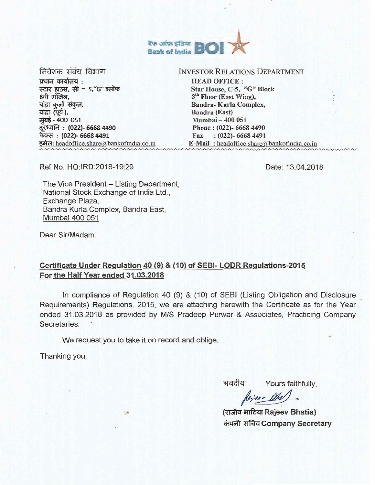

निवेशक संबंध विभाग प्रधान कार्यालय :  $F<sub>5</sub>$   $F<sub>4</sub>$   $F<sub>5</sub>$ ,  $F<sub>6</sub>$   $F<sub>7</sub>$   $F<sub>8</sub>$   $F<sub>9</sub>$   $F<sub>1</sub>$   $F<sub>1</sub>$ 8वी मंजिल, बांद्रा कुर्ला संकुल, बांद्रा (पूर्व), मुंबई - 400 051 दरध्वनि : (022)- 6668 4490 : (022)— 6668 4491 इमेल: headoffice.share@bankofindia.co.in

#### INVESTOR RELATIONS **DEPARTMENT**

HEAD OFFICE : Star House, C-5, "G" Block 8<sup>th</sup> Floor (East Wing), Bandra- Kurla Complex, Bandra (East) Mumbai — 400 051 Phone : (022)- 6668 4490 Fax : (022)- 6668 4491  $E-Mail$ : headoffice.share $a$ bankofindia.co.in

Ref No. HO:IRD:2018-19:29

Date: 13.04.2018

The Vice President — Listing Department, National Stock Exchange of India Ltd., Exchange Plaza, Bandra Kuria.Complex, Bandra East, Mumbai 400 051.

Dear Sir/Madam,

# Certificate Under Regulation 40 (9) & (10) of SEBI- LODR Regulations-2015 For the Half Year ended 31.03.2018

In compliance of Regulation 40 (9) & (10) of SEBI (Listing Obligation and Disclosure Requirements) Regulations, 2015, we are attaching herewith the Certificate as for the Year ended 31.03.2018 as provided by MIS Pradeep Purwar & Associates, Practicing Company Secretaries.

We request you to take it on record and oblige.

編

Thanking you,

भवदीय Yours faithfully,

Rejeer Mel

(राजीव भाटिया Rajeev Bhatia) कंपनी सचिव Company Secretary